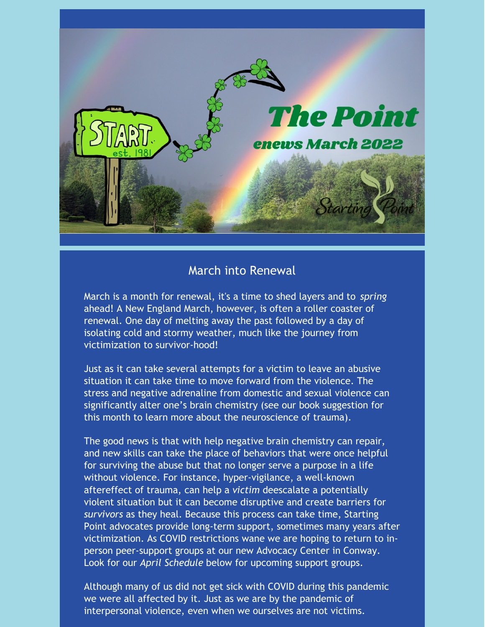

# March into Renewal

March is a month for renewal, it's a time to shed layers and to *spring* ahead! A New England March, however, is often a roller coaster of renewal. One day of melting away the past followed by a day of isolating cold and stormy weather, much like the journey from victimization to survivor-hood!

Just as it can take several attempts for a victim to leave an abusive situation it can take time to move forward from the violence. The stress and negative adrenaline from domestic and sexual violence can significantly alter one's brain chemistry (see our book suggestion for this month to learn more about the neuroscience of trauma).

The good news is that with help negative brain chemistry can repair, and new skills can take the place of behaviors that were once helpful for surviving the abuse but that no longer serve a purpose in a life without violence. For instance, hyper-vigilance, a well-known aftereffect of trauma, can help a *victim* deescalate a potentially violent situation but it can become disruptive and create barriers for *survivors* as they heal. Because this process can take time, Starting Point advocates provide long-term support, sometimes many years after victimization. As COVID restrictions wane we are hoping to return to inperson peer-support groups at our new Advocacy Center in Conway. Look for our *April Schedule* below for upcoming support groups.

Although many of us did not get sick with COVID during this pandemic we were all affected by it. Just as we are by the pandemic of interpersonal violence, even when we ourselves are not victims.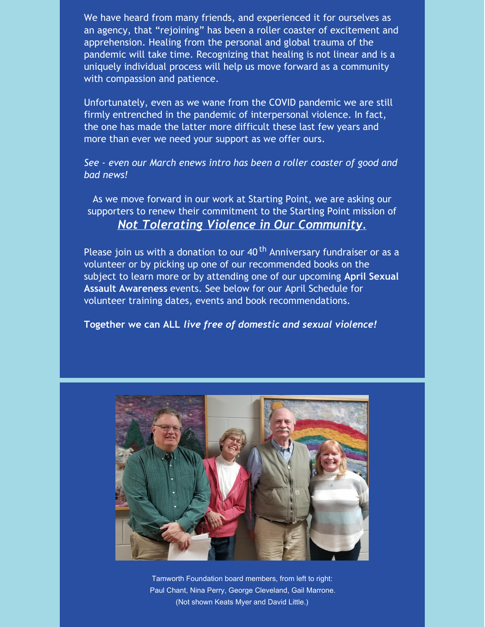We have heard from many friends, and experienced it for ourselves as an agency, that "rejoining" has been a roller coaster of excitement and apprehension. Healing from the personal and global trauma of the pandemic will take time. Recognizing that healing is not linear and is a uniquely individual process will help us move forward as a community with compassion and patience.

Unfortunately, even as we wane from the COVID pandemic we are still firmly entrenched in the pandemic of interpersonal violence. In fact, the one has made the latter more difficult these last few years and more than ever we need your support as we offer ours.

*See - even our March enews intro has been a roller coaster of good and bad news!*

As we move forward in our work at Starting Point, we are asking our supporters to renew their commitment to the Starting Point mission of *Not Tolerating Violence in Our Community*.

Please join us with a donation to our 40<sup>th</sup> Anniversary fundraiser or as a volunteer or by picking up one of our recommended books on the subject to learn more or by attending one of our upcoming **April Sexual Assault Awareness** events. See below for our April Schedule for volunteer training dates, events and book recommendations.

**Together we can ALL** *live free of domestic and sexual violence!*



Tamworth Foundation board members, from left to right: Paul Chant, Nina Perry, George Cleveland, Gail Marrone. (Not shown Keats Myer and David Little.)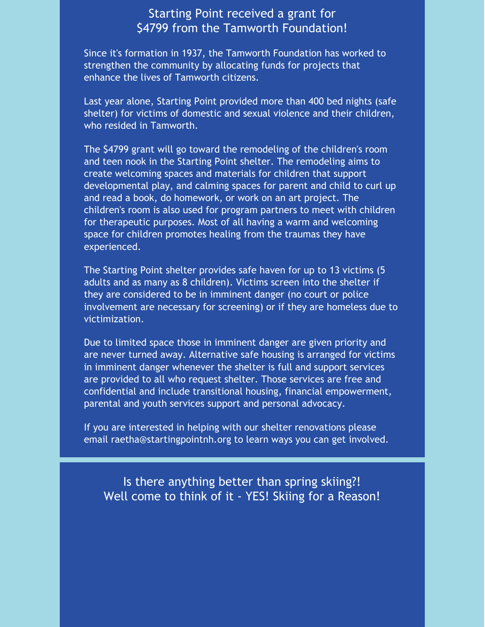### Starting Point received a grant for \$4799 from the Tamworth Foundation!

Since it's formation in 1937, the Tamworth Foundation has worked to strengthen the community by allocating funds for projects that enhance the lives of Tamworth citizens.

Last year alone, Starting Point provided more than 400 bed nights (safe shelter) for victims of domestic and sexual violence and their children, who resided in Tamworth.

The \$4799 grant will go toward the remodeling of the children's room and teen nook in the Starting Point shelter. The remodeling aims to create welcoming spaces and materials for children that support developmental play, and calming spaces for parent and child to curl up and read a book, do homework, or work on an art project. The children's room is also used for program partners to meet with children for therapeutic purposes. Most of all having a warm and welcoming space for children promotes healing from the traumas they have experienced.

The Starting Point shelter provides safe haven for up to 13 victims (5 adults and as many as 8 children). Victims screen into the shelter if they are considered to be in imminent danger (no court or police involvement are necessary for screening) or if they are homeless due to victimization.

Due to limited space those in imminent danger are given priority and are never turned away. Alternative safe housing is arranged for victims in imminent danger whenever the shelter is full and support services are provided to all who request shelter. Those services are free and confidential and include transitional housing, financial empowerment, parental and youth services support and personal advocacy.

If you are interested in helping with our shelter renovations please email raetha@startingpointnh.org to learn ways you can get involved.

Is there anything better than spring skiing?! Well come to think of it - YES! Skiing for a Reason!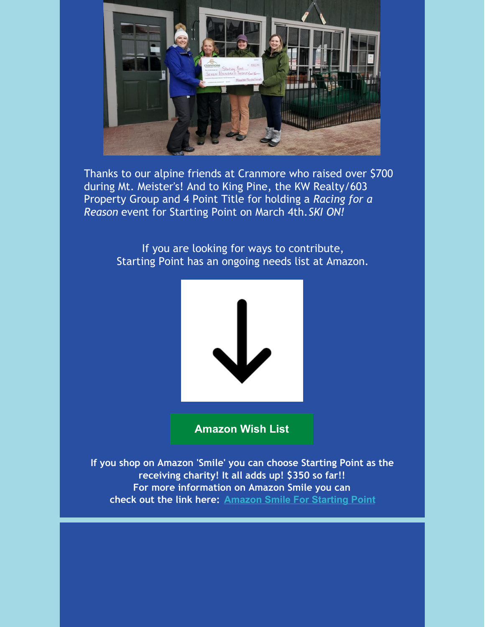

Thanks to our alpine friends at Cranmore who raised over \$700 during Mt. Meister's! And to King Pine, the KW Realty/603 Property Group and 4 Point Title for holding a *Racing for a Reason* event for Starting Point on March 4th.*SKI ON!*

> If you are looking for ways to contribute, Starting Point has an ongoing needs list at Amazon.



**[Amazon](https://smile.amazon.com/gp/ch/list/02-0365780?ref_=smi_cl_bc_lol1_lol) Wish List**

**If you shop on Amazon 'Smile' you can choose Starting Point as the receiving charity! It all adds up! \$350 so far!! For more information on Amazon Smile you can check out the link here: [Amazon](https://smile.amazon.com/gp/clpf/ref=smi_se_clpf_rd_clpf) Smile For Starting Point**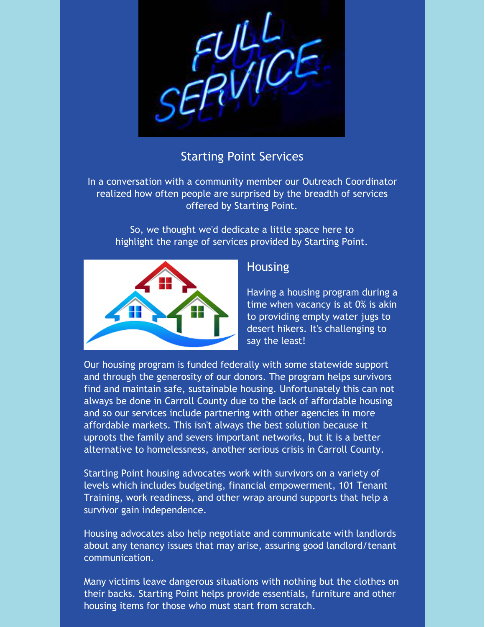

# Starting Point Services

In a conversation with a community member our Outreach Coordinator realized how often people are surprised by the breadth of services offered by Starting Point.

So, we thought we'd dedicate a little space here to highlight the range of services provided by Starting Point.



### **Housing**

Having a housing program during a time when vacancy is at 0% is akin to providing empty water jugs to desert hikers. It's challenging to say the least!

Our housing program is funded federally with some statewide support and through the generosity of our donors. The program helps survivors find and maintain safe, sustainable housing. Unfortunately this can not always be done in Carroll County due to the lack of affordable housing and so our services include partnering with other agencies in more affordable markets. This isn't always the best solution because it uproots the family and severs important networks, but it is a better alternative to homelessness, another serious crisis in Carroll County.

Starting Point housing advocates work with survivors on a variety of levels which includes budgeting, financial empowerment, 101 Tenant Training, work readiness, and other wrap around supports that help a survivor gain independence.

Housing advocates also help negotiate and communicate with landlords about any tenancy issues that may arise, assuring good landlord/tenant communication.

Many victims leave dangerous situations with nothing but the clothes on their backs. Starting Point helps provide essentials, furniture and other housing items for those who must start from scratch.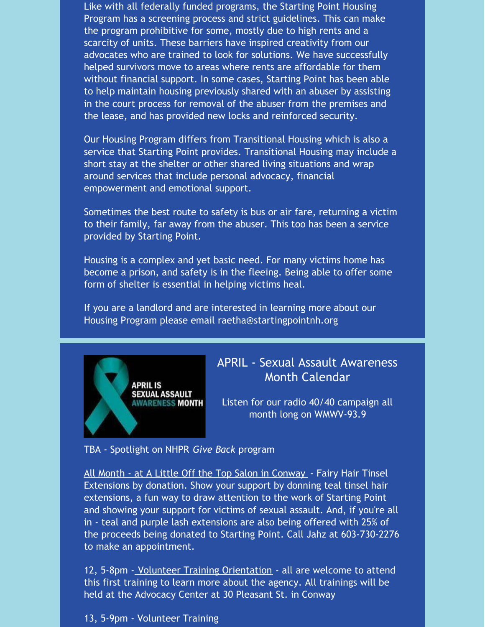Like with all federally funded programs, the Starting Point Housing Program has a screening process and strict guidelines. This can make the program prohibitive for some, mostly due to high rents and a scarcity of units. These barriers have inspired creativity from our advocates who are trained to look for solutions. We have successfully helped survivors move to areas where rents are affordable for them without financial support. In some cases, Starting Point has been able to help maintain housing previously shared with an abuser by assisting in the court process for removal of the abuser from the premises and the lease, and has provided new locks and reinforced security.

Our Housing Program differs from Transitional Housing which is also a service that Starting Point provides. Transitional Housing may include a short stay at the shelter or other shared living situations and wrap around services that include personal advocacy, financial empowerment and emotional support.

Sometimes the best route to safety is bus or air fare, returning a victim to their family, far away from the abuser. This too has been a service provided by Starting Point.

Housing is a complex and yet basic need. For many victims home has become a prison, and safety is in the fleeing. Being able to offer some form of shelter is essential in helping victims heal.

If you are a landlord and are interested in learning more about our Housing Program please email raetha@startingpointnh.org



# APRIL - Sexual Assault Awareness Month Calendar

Listen for our radio 40/40 campaign all month long on WMWV-93.9

TBA - Spotlight on NHPR *Give Back* program

All Month - at A Little Off the Top Salon in Conway - Fairy Hair Tinsel Extensions by donation. Show your support by donning teal tinsel hair extensions, a fun way to draw attention to the work of Starting Point and showing your support for victims of sexual assault. And, if you're all in - teal and purple lash extensions are also being offered with 25% of the proceeds being donated to Starting Point. Call Jahz at 603-730-2276 to make an appointment.

12, 5-8pm - Volunteer Training Orientation - all are welcome to attend this first training to learn more about the agency. All trainings will be held at the Advocacy Center at 30 Pleasant St. in Conway

13, 5-9pm - Volunteer Training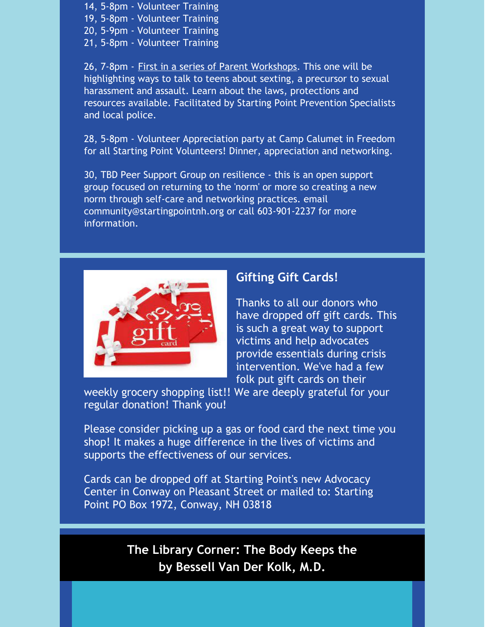- 14, 5-8pm Volunteer Training 19, 5-8pm - Volunteer Training 20, 5-9pm - Volunteer Training
- 21, 5-8pm Volunteer Training

26, 7-8pm - First in a series of Parent Workshops. This one will be highlighting ways to talk to teens about sexting, a precursor to sexual harassment and assault. Learn about the laws, protections and resources available. Facilitated by Starting Point Prevention Specialists and local police.

28, 5-8pm - Volunteer Appreciation party at Camp Calumet in Freedom for all Starting Point Volunteers! Dinner, appreciation and networking.

30, TBD Peer Support Group on resilience - this is an open support group focused on returning to the 'norm' or more so creating a new norm through self-care and networking practices. email community@startingpointnh.org or call 603-901-2237 for more information.



#### **Gifting Gift Cards!**

Thanks to all our donors who have dropped off gift cards. This is such a great way to support victims and help advocates provide essentials during crisis intervention. We've had a few folk put gift cards on their

weekly grocery shopping list!! We are deeply grateful for your regular donation! Thank you!

Please consider picking up a gas or food card the next time you shop! It makes a huge difference in the lives of victims and supports the effectiveness of our services.

Cards can be dropped off at Starting Point's new Advocacy Center in Conway on Pleasant Street or mailed to: Starting Point PO Box 1972, Conway, NH 03818

> **The Library Corner: The Body Keeps the by Bessell Van Der Kolk, M.D.**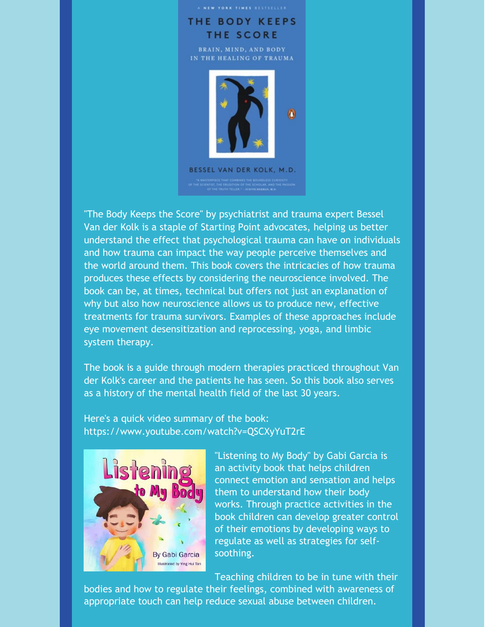

"The Body Keeps the Score" by psychiatrist and trauma expert Bessel Van der Kolk is a staple of Starting Point advocates, helping us better understand the effect that psychological trauma can have on individuals and how trauma can impact the way people perceive themselves and the world around them. This book covers the intricacies of how trauma produces these effects by considering the neuroscience involved. The book can be, at times, technical but offers not just an explanation of why but also how neuroscience allows us to produce new, effective treatments for trauma survivors. Examples of these approaches include eye movement desensitization and reprocessing, yoga, and limbic system therapy.

The book is a guide through modern therapies practiced throughout Van der Kolk's career and the patients he has seen. So this book also serves as a history of the mental health field of the last 30 years.

Here's a quick video summary of the book: https://www.youtube.com/watch?v=QSCXyYuT2rE



"Listening to My Body" by Gabi Garcia is an activity book that helps children connect emotion and sensation and helps them to understand how their body works. Through practice activities in the book children can develop greater control of their emotions by developing ways to regulate as well as strategies for selfsoothing.

Teaching children to be in tune with their

bodies and how to regulate their feelings, combined with awareness of appropriate touch can help reduce sexual abuse between children.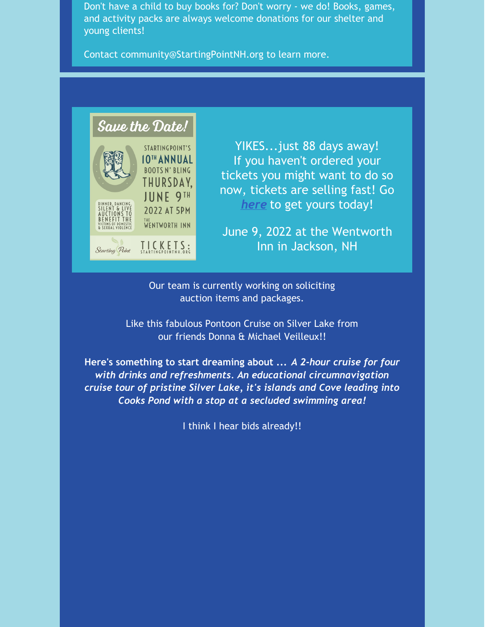Don't have a child to buy books for? Don't worry - we do! Books, games, and activity packs are always welcome donations for our shelter and young clients!

Contact community@StartingPointNH.org to learn more.



YIKES...just 88 days away! If you haven't ordered your tickets you might want to do so now, tickets are selling fast! Go *[here](https://startingpointnh.ejoinme.org/MyEvents/2022BootsnBling/tabid/1275634/Default.aspx)* to get yours today!

June 9, 2022 at the Wentworth Inn in Jackson, NH

Our team is currently working on soliciting auction items and packages.

Like this fabulous Pontoon Cruise on Silver Lake from our friends Donna & Michael Veilleux!!

**Here's something to start dreaming about ...** *A 2-hour cruise for four with drinks and refreshments. An educational circumnavigation cruise tour of pristine Silver Lake, it's islands and Cove leading into Cooks Pond with a stop at a secluded swimming area!*

I think I hear bids already!!